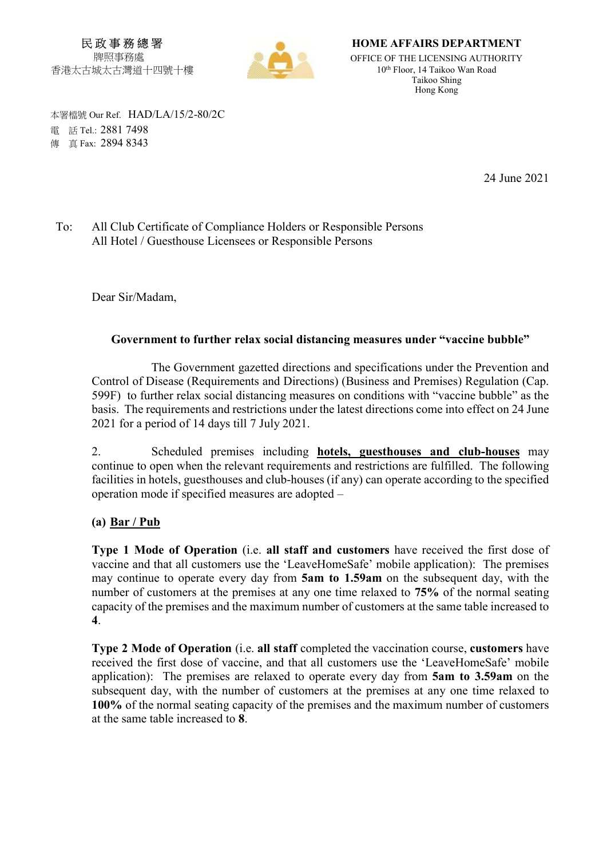民 政 事 務 總 署 牌照事務處 香港太古城太古灣道十四號十樓



HOME AFFAIRS DEPARTMENT

OFFICE OF THE LICENSING AUTHORITY 10th Floor, 14 Taikoo Wan Road Taikoo Shing Hong Kong

 本署檔號 Our Ref. HAD/LA/15/2-80/2C 電 話 Tel.: 2881 7498 傳 真 Fax: 2894 8343

24 June 2021

## To: All Club Certificate of Compliance Holders or Responsible Persons All Hotel / Guesthouse Licensees or Responsible Persons

Dear Sir/Madam,

# Government to further relax social distancing measures under "vaccine bubble"

 The Government gazetted directions and specifications under the Prevention and Control of Disease (Requirements and Directions) (Business and Premises) Regulation (Cap. 599F) to further relax social distancing measures on conditions with "vaccine bubble" as the basis. The requirements and restrictions under the latest directions come into effect on 24 June 2021 for a period of 14 days till 7 July 2021.

2. Scheduled premises including **hotels, guesthouses and club-houses** may continue to open when the relevant requirements and restrictions are fulfilled. The following facilities in hotels, guesthouses and club-houses (if any) can operate according to the specified operation mode if specified measures are adopted –

# (a) Bar / Pub

Type 1 Mode of Operation (i.e. all staff and customers have received the first dose of vaccine and that all customers use the 'LeaveHomeSafe' mobile application): The premises may continue to operate every day from 5am to 1.59am on the subsequent day, with the number of customers at the premises at any one time relaxed to 75% of the normal seating capacity of the premises and the maximum number of customers at the same table increased to 4.

Type 2 Mode of Operation (i.e. all staff completed the vaccination course, customers have received the first dose of vaccine, and that all customers use the 'LeaveHomeSafe' mobile application): The premises are relaxed to operate every day from 5am to 3.59am on the subsequent day, with the number of customers at the premises at any one time relaxed to 100% of the normal seating capacity of the premises and the maximum number of customers at the same table increased to 8.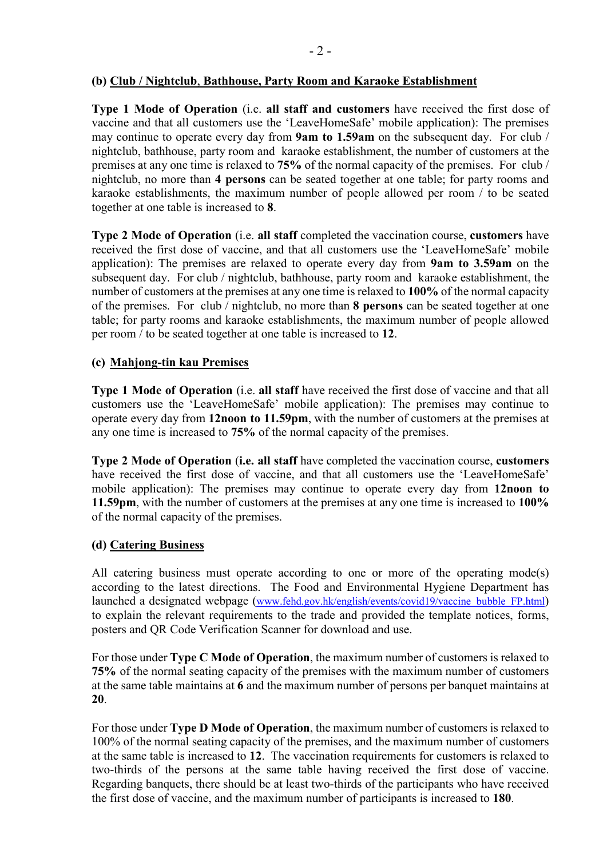### (b) Club / Nightclub, Bathhouse, Party Room and Karaoke Establishment

Type 1 Mode of Operation (i.e. all staff and customers have received the first dose of vaccine and that all customers use the 'LeaveHomeSafe' mobile application): The premises may continue to operate every day from 9am to 1.59am on the subsequent day. For club / nightclub, bathhouse, party room and karaoke establishment, the number of customers at the premises at any one time is relaxed to 75% of the normal capacity of the premises. For club / nightclub, no more than 4 persons can be seated together at one table; for party rooms and karaoke establishments, the maximum number of people allowed per room / to be seated together at one table is increased to 8.

Type 2 Mode of Operation (i.e. all staff completed the vaccination course, customers have received the first dose of vaccine, and that all customers use the 'LeaveHomeSafe' mobile application): The premises are relaxed to operate every day from 9am to 3.59am on the subsequent day. For club / nightclub, bathhouse, party room and karaoke establishment, the number of customers at the premises at any one time is relaxed to 100% of the normal capacity of the premises. For club / nightclub, no more than 8 persons can be seated together at one table; for party rooms and karaoke establishments, the maximum number of people allowed per room / to be seated together at one table is increased to 12.

# (c) Mahjong-tin kau Premises

Type 1 Mode of Operation (i.e. all staff have received the first dose of vaccine and that all customers use the 'LeaveHomeSafe' mobile application): The premises may continue to operate every day from 12noon to 11.59pm, with the number of customers at the premises at any one time is increased to 75% of the normal capacity of the premises.

Type 2 Mode of Operation (i.e. all staff have completed the vaccination course, customers have received the first dose of vaccine, and that all customers use the 'LeaveHomeSafe' mobile application): The premises may continue to operate every day from 12noon to 11.59pm, with the number of customers at the premises at any one time is increased to 100% of the normal capacity of the premises.

# (d) Catering Business

All catering business must operate according to one or more of the operating mode(s) according to the latest directions. The Food and Environmental Hygiene Department has launched a designated webpage (www.fehd.gov.hk/english/events/covid19/vaccine\_bubble\_FP.html) to explain the relevant requirements to the trade and provided the template notices, forms, posters and QR Code Verification Scanner for download and use.

For those under Type C Mode of Operation, the maximum number of customers is relaxed to 75% of the normal seating capacity of the premises with the maximum number of customers at the same table maintains at 6 and the maximum number of persons per banquet maintains at 20.

For those under Type D Mode of Operation, the maximum number of customers is relaxed to 100% of the normal seating capacity of the premises, and the maximum number of customers at the same table is increased to 12. The vaccination requirements for customers is relaxed to two-thirds of the persons at the same table having received the first dose of vaccine. Regarding banquets, there should be at least two-thirds of the participants who have received the first dose of vaccine, and the maximum number of participants is increased to 180.